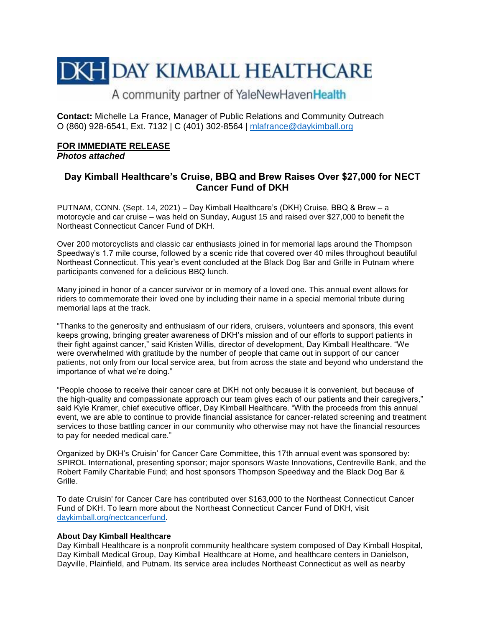# **DKH DAY KIMBALL HEALTHCARE**

## A community partner of YaleNewHavenHealth

**Contact:** Michelle La France, Manager of Public Relations and Community Outreach O (860) 928-6541, Ext. 7132 | C (401) 302-8564 | [mlafrance@daykimball.org](mailto:mlafrance@daykimball.org)

#### **FOR IMMEDIATE RELEASE**  *Photos attached*

### **Day Kimball Healthcare's Cruise, BBQ and Brew Raises Over \$27,000 for NECT Cancer Fund of DKH**

PUTNAM, CONN. (Sept. 14, 2021) – Day Kimball Healthcare's (DKH) Cruise, BBQ & Brew – a motorcycle and car cruise – was held on Sunday, August 15 and raised over \$27,000 to benefit the Northeast Connecticut Cancer Fund of DKH.

Over 200 motorcyclists and classic car enthusiasts joined in for memorial laps around the Thompson Speedway's 1.7 mile course, followed by a scenic ride that covered over 40 miles throughout beautiful Northeast Connecticut. This year's event concluded at the Black Dog Bar and Grille in Putnam where participants convened for a delicious BBQ lunch.

Many joined in honor of a cancer survivor or in memory of a loved one. This annual event allows for riders to commemorate their loved one by including their name in a special memorial tribute during memorial laps at the track.

"Thanks to the generosity and enthusiasm of our riders, cruisers, volunteers and sponsors, this event keeps growing, bringing greater awareness of DKH's mission and of our efforts to support patients in their fight against cancer," said Kristen Willis, director of development, Day Kimball Healthcare. "We were overwhelmed with gratitude by the number of people that came out in support of our cancer patients, not only from our local service area, but from across the state and beyond who understand the importance of what we're doing."

"People choose to receive their cancer care at DKH not only because it is convenient, but because of the high-quality and compassionate approach our team gives each of our patients and their caregivers," said Kyle Kramer, chief executive officer, Day Kimball Healthcare. "With the proceeds from this annual event, we are able to continue to provide financial assistance for cancer-related screening and treatment services to those battling cancer in our community who otherwise may not have the financial resources to pay for needed medical care."

Organized by DKH's Cruisin' for Cancer Care Committee, this 17th annual event was sponsored by: SPIROL International, presenting sponsor; major sponsors Waste Innovations, Centreville Bank, and the Robert Family Charitable Fund; and host sponsors Thompson Speedway and the Black Dog Bar & Grille.

To date Cruisin' for Cancer Care has contributed over \$163,000 to the Northeast Connecticut Cancer Fund of DKH. To learn more about the Northeast Connecticut Cancer Fund of DKH, visit [daykimball.org/nectcancerfund.](file:///C:/Users/MLaFrance/AppData/Local/Microsoft/Windows/Temporary%20Internet%20Files/Content.Outlook/BXWY1GT0/daykimball.org/nectcancerfund)

#### **About Day Kimball Healthcare**

Day Kimball Healthcare is a nonprofit community healthcare system composed of Day Kimball Hospital, Day Kimball Medical Group, Day Kimball Healthcare at Home, and healthcare centers in Danielson, Dayville, Plainfield, and Putnam. Its service area includes Northeast Connecticut as well as nearby